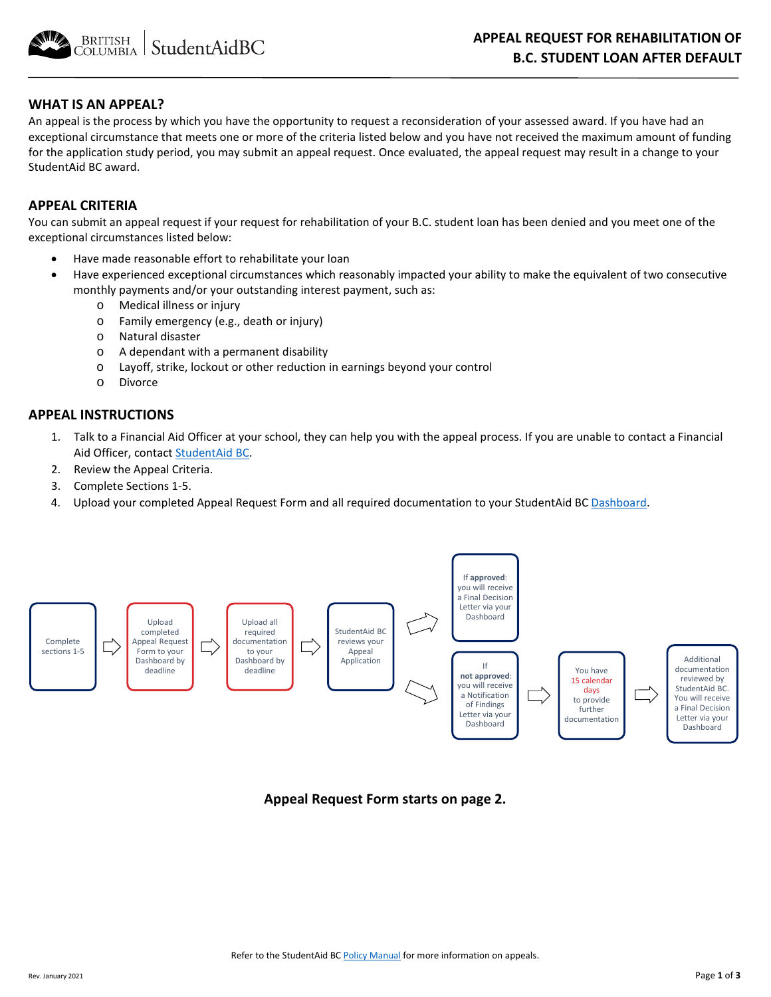

#### **WHAT IS AN APPEAL?**

An appeal is the process by which you have the opportunity to request a reconsideration of your assessed award. If you have had an exceptional circumstance that meets one or more of the criteria listed below and you have not received the maximum amount of funding for the application study period, you may submit an appeal request. Once evaluated, the appeal request may result in a change to your StudentAid BC award.

#### **APPEAL CRITERIA**

You can submit an appeal request if your request for rehabilitation of your B.C. student loan has been denied and you meet one of the exceptional circumstances listed below:

- Have made reasonable effort to rehabilitate your loan
- Have experienced exceptional circumstances which reasonably impacted your ability to make the equivalent of two consecutive monthly payments and/or your outstanding interest payment, such as:
	- o Medical illness or injury
	- o Family emergency (e.g., death or injury)
	- o Natural disaster
	- o A dependant with a permanent disability
	- o Layoff, strike, lockout or other reduction in earnings beyond your control
	- o Divorce

### **APPEAL INSTRUCTIONS**

- 1. Talk to a Financial Aid Officer at your school, they can help you with the appeal process. If you are unable to contact a Financial Aid Officer, contac[t StudentAid BC.](https://studentaidbc.ca/contact-information)
- 2. Review the Appeal Criteria.
- 3. Complete Sections 1-5.
- 4. Upload your completed Appeal Request Form and all required documentation to your StudentAid BC [Dashboard.](https://studentaidbc.ca/dashboard)



**Appeal Request Form starts on page 2.**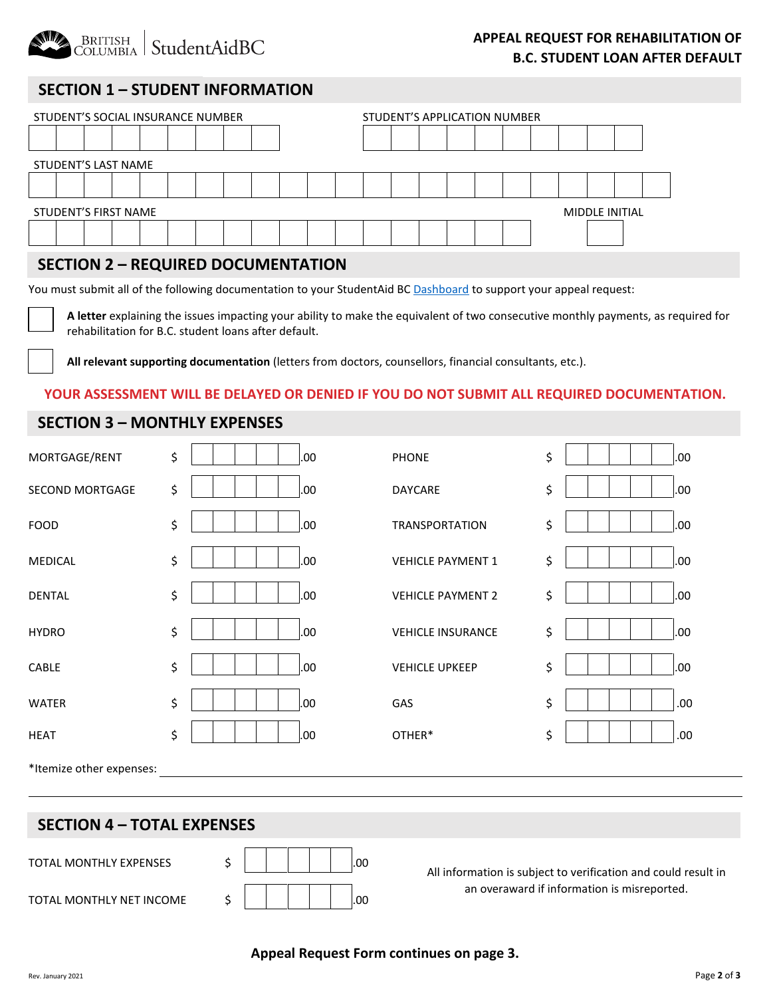

# **SECTION 1 – STUDENT INFORMATION**

| STUDENT'S SOCIAL INSURANCE NUMBER      |                     |  |  |  |  |  |  |  |  | STUDENT'S APPLICATION NUMBER |  |  |  |  |  |  |  |  |  |  |  |
|----------------------------------------|---------------------|--|--|--|--|--|--|--|--|------------------------------|--|--|--|--|--|--|--|--|--|--|--|
|                                        |                     |  |  |  |  |  |  |  |  |                              |  |  |  |  |  |  |  |  |  |  |  |
|                                        | STUDENT'S LAST NAME |  |  |  |  |  |  |  |  |                              |  |  |  |  |  |  |  |  |  |  |  |
|                                        |                     |  |  |  |  |  |  |  |  |                              |  |  |  |  |  |  |  |  |  |  |  |
| STUDENT'S FIRST NAME<br>MIDDLE INITIAL |                     |  |  |  |  |  |  |  |  |                              |  |  |  |  |  |  |  |  |  |  |  |
|                                        |                     |  |  |  |  |  |  |  |  |                              |  |  |  |  |  |  |  |  |  |  |  |

# **SECTION 2 – REQUIRED DOCUMENTATION**

You must submit all of the following documentation to your StudentAid BC [Dashboard](https://studentaidbc.ca/dashboard) to support your appeal request:

**A letter** explaining the issues impacting your ability to make the equivalent of two consecutive monthly payments, as required for rehabilitation for B.C. student loans after default.

**All relevant supporting documentation** (letters from doctors, counsellors, financial consultants, etc.).

#### **YOUR ASSESSMENT WILL BE DELAYED OR DENIED IF YOU DO NOT SUBMIT ALL REQUIRED DOCUMENTATION.**

## **SECTION 3 – MONTHLY EXPENSES**

| MORTGAGE/RENT            | \$<br>.00. | <b>PHONE</b>             | \$<br>.00  |
|--------------------------|------------|--------------------------|------------|
| <b>SECOND MORTGAGE</b>   | \$<br>.00  | DAYCARE                  | \$<br>.00  |
| <b>FOOD</b>              | \$<br>.00. | <b>TRANSPORTATION</b>    | \$<br>.00. |
| MEDICAL                  | \$<br>.00  | <b>VEHICLE PAYMENT 1</b> | \$<br>.00  |
| <b>DENTAL</b>            | \$<br>.00  | <b>VEHICLE PAYMENT 2</b> | \$<br>.00  |
| <b>HYDRO</b>             | \$<br>.00. | <b>VEHICLE INSURANCE</b> | \$<br>.00. |
| CABLE                    | \$<br>.00. | <b>VEHICLE UPKEEP</b>    | \$<br>.00. |
| WATER                    | \$<br>.00  | GAS                      | \$<br>.00. |
| <b>HEAT</b>              | \$<br>.00  | OTHER*                   | \$<br>.00. |
| *Itemize other expenses: |            |                          |            |

## **SECTION 4 – TOTAL EXPENSES**

TOTAL MONTHLY EXPENSES  $\sim$ TOTAL MONTHLY NET INCOME \$

|  |  |  | .00 |
|--|--|--|-----|
|  |  |  | .00 |

All information is subject to verification and could result in an overaward if information is misreported.

#### **Appeal Request Form continues on page 3.**